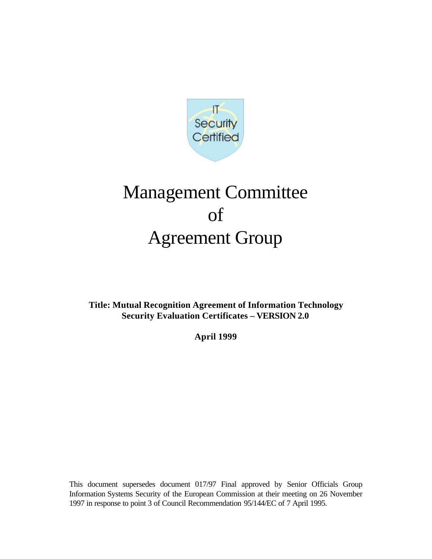

# Management Committee of Agreement Group

**Title: Mutual Recognition Agreement of Information Technology Security Evaluation Certificates – VERSION 2.0**

**April 1999**

This document supersedes document 017/97 Final approved by Senior Officials Group Information Systems Security of the European Commission at their meeting on 26 November 1997 in response to point 3 of Council Recommendation 95/144/EC of 7 April 1995.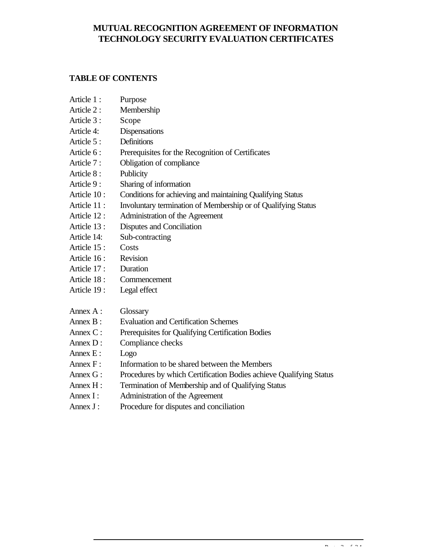# **MUTUAL RECOGNITION AGREEMENT OF INFORMATION TECHNOLOGY SECURITY EVALUATION CERTIFICATES**

# **TABLE OF CONTENTS**

| Article 1:   | Purpose                                                            |
|--------------|--------------------------------------------------------------------|
| Article 2:   | Membership                                                         |
| Article 3:   | Scope                                                              |
| Article 4:   | Dispensations                                                      |
| Article 5:   | Definitions                                                        |
| Article 6:   | Prerequisites for the Recognition of Certificates                  |
| Article 7:   | Obligation of compliance                                           |
| Article 8:   | Publicity                                                          |
| Article 9:   | Sharing of information                                             |
| Article 10:  | Conditions for achieving and maintaining Qualifying Status         |
| Article 11 : | Involuntary termination of Membership or of Qualifying Status      |
| Article 12:  | Administration of the Agreement                                    |
| Article 13:  | Disputes and Conciliation                                          |
| Article 14:  | Sub-contracting                                                    |
| Article 15:  | Costs                                                              |
| Article 16:  | Revision                                                           |
| Article 17:  | Duration                                                           |
| Article 18:  | Commencement                                                       |
| Article 19:  | Legal effect                                                       |
| Annex A:     | Glossary                                                           |
| Annex $B$ :  | <b>Evaluation and Certification Schemes</b>                        |
| Annex C:     | Prerequisites for Qualifying Certification Bodies                  |
| Annex $D$ :  | Compliance checks                                                  |
| Annex E:     | Logo                                                               |
| Annex F:     | Information to be shared between the Members                       |
| Annex G:     | Procedures by which Certification Bodies achieve Qualifying Status |
| Annex H:     | Termination of Membership and of Qualifying Status                 |
| Annex I:     | Administration of the Agreement                                    |
| Annex J:     | Procedure for disputes and conciliation                            |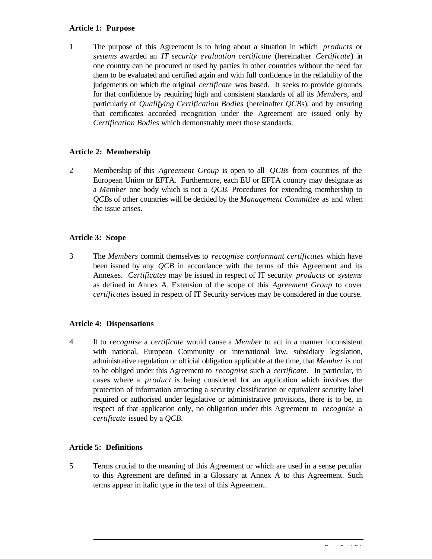#### **Article 1: Purpose**

1 The purpose of this Agreement is to bring about a situation in which *products* or *systems* awarded an *IT security evaluation certificate* (hereinafter *Certificate*) in one country can be procured or used by parties in other countries without the need for them to be evaluated and certified again and with full confidence in the reliability of the judgements on which the original *certificate* was based. It seeks to provide grounds for that confidence by requiring high and consistent standards of all its *Members*, and particularly of *Qualifying Certification Bodies* (hereinafter *QCB*s), and by ensuring that certificates accorded recognition under the Agreement are issued only by *Certification Bodies* which demonstrably meet those standards.

# **Article 2: Membership**

2 Membership of this *Agreement Group* is open to all *QCB*s from countries of the European Union or EFTA. Furthermore, each EU or EFTA country may designate as a *Member* one body which is not a *QCB*. Procedures for extending membership to *QCB*s of other countries will be decided by the *Management Committee* as and when the issue arises.

# **Article 3: Scope**

3 The *Members* commit themselves to *recognise conformant certificates* which have been issued by any *QCB* in accordance with the terms of this Agreement and its Annexes. *Certificates* may be issued in respect of IT security *products* or *systems* as defined in Annex A. Extension of the scope of this *Agreement Group* to cover *certificates* issued in respect of IT Security services may be considered in due course.

# **Article 4: Dispensations**

4 If to *recognise* a *certificate* would cause a *Member* to act in a manner inconsistent with national, European Community or international law, subsidiary legislation, administrative regulation or official obligation applicable at the time, that *Member* is not to be obliged under this Agreement to *recognise* such a *certificate*. In particular, in cases where a *product* is being considered for an application which involves the protection of information attracting a security classification or equivalent security label required or authorised under legislative or administrative provisions, there is to be, in respect of that application only, no obligation under this Agreement to *recognise* a *certificate* issued by a *QCB*.

# **Article 5: Definitions**

5 Terms crucial to the meaning of this Agreement or which are used in a sense peculiar to this Agreement are defined in a Glossary at Annex A to this Agreement. Such terms appear in italic type in the text of this Agreement.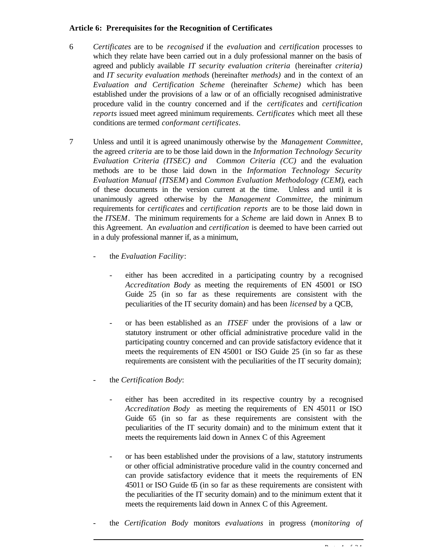#### **Article 6: Prerequisites for the Recognition of Certificates**

- 6 *Certificates* are to be *recognised* if the *evaluation* and *certification* processes to which they relate have been carried out in a duly professional manner on the basis of agreed and publicly available *IT security evaluation criteria* (hereinafter *criteria)* and *IT security evaluation methods* (hereinafter *methods)* and in the context of an *Evaluation and Certification Scheme* (hereinafter *Scheme)* which has been established under the provisions of a law or of an officially recognised administrative procedure valid in the country concerned and if the *certificates* and *certification reports* issued meet agreed minimum requirements. *Certificates* which meet all these conditions are termed *conformant certificates*.
- 7 Unless and until it is agreed unanimously otherwise by the *Management Committee*, the agreed *criteria* are to be those laid down in the *Information Technology Security Evaluation Criteria (ITSEC) and Common Criteria (CC)* and the evaluation methods are to be those laid down in the *Information Technology Security Evaluation Manual (ITSEM*) and *Common Evaluation Methodology (CEM)*, each of these documents in the version current at the time. Unless and until it is unanimously agreed otherwise by the *Management Committee*, the minimum requirements for *certificates* and *certification reports* are to be those laid down in the *ITSEM*. The minimum requirements for a *Scheme* are laid down in Annex B to this Agreement. An *evaluation* and *certification* is deemed to have been carried out in a duly professional manner if, as a minimum,
	- the *Evaluation Facility*:
		- either has been accredited in a participating country by a recognised *Accreditation Body* as meeting the requirements of EN 45001 or ISO Guide 25 (in so far as these requirements are consistent with the peculiarities of the IT security domain) and has been *licensed* by a QCB,
		- or has been established as an *ITSEF* under the provisions of a law or statutory instrument or other official administrative procedure valid in the participating country concerned and can provide satisfactory evidence that it meets the requirements of EN 45001 or ISO Guide 25 (in so far as these requirements are consistent with the peculiarities of the IT security domain);
	- the *Certification Body*:
		- either has been accredited in its respective country by a recognised *Accreditation Body* as meeting the requirements of EN 45011 or ISO Guide 65 (in so far as these requirements are consistent with the peculiarities of the IT security domain) and to the minimum extent that it meets the requirements laid down in Annex C of this Agreement
		- or has been established under the provisions of a law, statutory instruments or other official administrative procedure valid in the country concerned and can provide satisfactory evidence that it meets the requirements of EN 45011 or ISO Guide 65 (in so far as these requirements are consistent with the peculiarities of the IT security domain) and to the minimum extent that it meets the requirements laid down in Annex C of this Agreement.
	- the *Certification Body* monitors *evaluations* in progress (*monitoring of*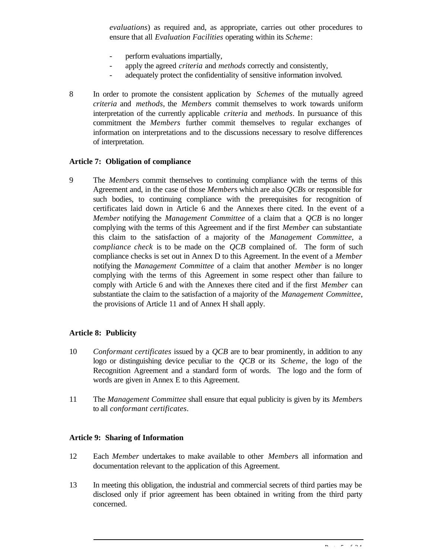*evaluations*) as required and, as appropriate, carries out other procedures to ensure that all *Evaluation Facilities* operating within its *Scheme*:

- perform evaluations impartially,
- apply the agreed *criteria* and *methods* correctly and consistently,
- adequately protect the confidentiality of sensitive information involved.
- 8 In order to promote the consistent application by *Schemes* of the mutually agreed *criteria* and *methods*, the *Members* commit themselves to work towards uniform interpretation of the currently applicable *criteria* and *methods*. In pursuance of this commitment the *Members* further commit themselves to regular exchanges of information on interpretations and to the discussions necessary to resolve differences of interpretation.

#### **Article 7: Obligation of compliance**

9 The *Member*s commit themselves to continuing compliance with the terms of this Agreement and, in the case of those *Member*s which are also *QCBs* or responsible for such bodies, to continuing compliance with the prerequisites for recognition of certificates laid down in Article 6 and the Annexes there cited. In the event of a *Member* notifying the *Management Committee* of a claim that a *QCB* is no longer complying with the terms of this Agreement and if the first *Member* can substantiate this claim to the satisfaction of a majority of the *Management Committee*, a *compliance check* is to be made on the *QCB* complained of. The form of such compliance checks is set out in Annex D to this Agreement. In the event of a *Member* notifying the *Management Committee* of a claim that another *Member* is no longer complying with the terms of this Agreement in some respect other than failure to comply with Article 6 and with the Annexes there cited and if the first *Member* can substantiate the claim to the satisfaction of a majority of the *Management Committee*, the provisions of Article 11 and of Annex H shall apply.

#### **Article 8: Publicity**

- 10 *Conformant certificates* issued by a *QCB* are to bear prominently, in addition to any logo or distinguishing device peculiar to the *QCB* or its *Scheme*, the logo of the Recognition Agreement and a standard form of words. The logo and the form of words are given in Annex E to this Agreement.
- 11 The *Management Committee* shall ensure that equal publicity is given by its *Member*s to all *conformant certificates*.

#### **Article 9: Sharing of Information**

- 12 Each *Member* undertakes to make available to other *Member*s all information and documentation relevant to the application of this Agreement.
- 13 In meeting this obligation, the industrial and commercial secrets of third parties may be disclosed only if prior agreement has been obtained in writing from the third party concerned.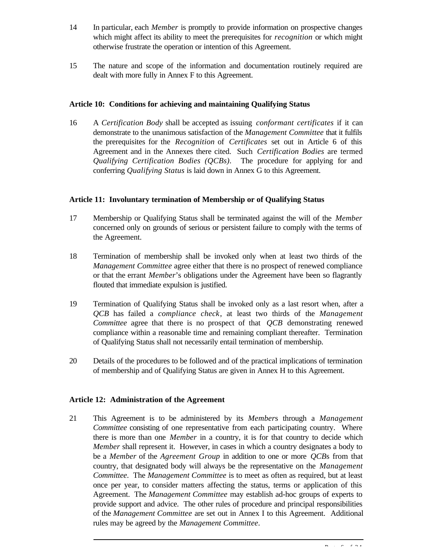- 14 In particular, each *Member* is promptly to provide information on prospective changes which might affect its ability to meet the prerequisites for *recognition* or which might otherwise frustrate the operation or intention of this Agreement.
- 15 The nature and scope of the information and documentation routinely required are dealt with more fully in Annex F to this Agreement.

#### **Article 10: Conditions for achieving and maintaining Qualifying Status**

16 A *Certification Body* shall be accepted as issuing *conformant certificates* if it can demonstrate to the unanimous satisfaction of the *Management Committee* that it fulfils the prerequisites for the *Recognition* of *Certificates* set out in Article 6 of this Agreement and in the Annexes there cited. Such *Certification Bodies* are termed *Qualifying Certification Bodies (QCBs)*. The procedure for applying for and conferring *Qualifying Status* is laid down in Annex G to this Agreement.

#### **Article 11: Involuntary termination of Membership or of Qualifying Status**

- 17 Membership or Qualifying Status shall be terminated against the will of the *Member* concerned only on grounds of serious or persistent failure to comply with the terms of the Agreement.
- 18 Termination of membership shall be invoked only when at least two thirds of the *Management Committee* agree either that there is no prospect of renewed compliance or that the errant *Member*'s obligations under the Agreement have been so flagrantly flouted that immediate expulsion is justified.
- 19 Termination of Qualifying Status shall be invoked only as a last resort when, after a *QCB* has failed a *compliance check*, at least two thirds of the *Management Committee* agree that there is no prospect of that *QCB* demonstrating renewed compliance within a reasonable time and remaining compliant thereafter. Termination of Qualifying Status shall not necessarily entail termination of membership.
- 20 Details of the procedures to be followed and of the practical implications of termination of membership and of Qualifying Status are given in Annex H to this Agreement.

# **Article 12: Administration of the Agreement**

21 This Agreement is to be administered by its *Member*s through a *Management Committee* consisting of one representative from each participating country. Where there is more than one *Member* in a country, it is for that country to decide which *Member* shall represent it. However, in cases in which a country designates a body to be a *Member* of the *Agreement Group* in addition to one or more *QCB*s from that country, that designated body will always be the representative on the *Management Committee*. The *Management Committee* is to meet as often as required, but at least once per year, to consider matters affecting the status, terms or application of this Agreement. The *Management Committee* may establish ad-hoc groups of experts to provide support and advice. The other rules of procedure and principal responsibilities of the *Management Committee* are set out in Annex I to this Agreement. Additional rules may be agreed by the *Management Committee*.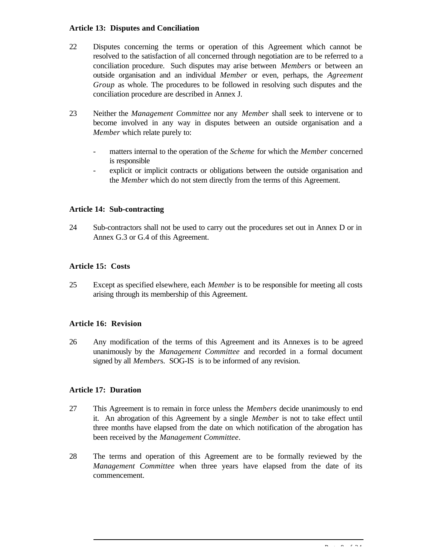#### **Article 13: Disputes and Conciliation**

- 22 Disputes concerning the terms or operation of this Agreement which cannot be resolved to the satisfaction of all concerned through negotiation are to be referred to a conciliation procedure. Such disputes may arise between *Member*s or between an outside organisation and an individual *Member* or even, perhaps, the *Agreement Group* as whole. The procedures to be followed in resolving such disputes and the conciliation procedure are described in Annex J.
- 23 Neither the *Management Committee* nor any *Member* shall seek to intervene or to become involved in any way in disputes between an outside organisation and a *Member* which relate purely to:
	- matters internal to the operation of the *Scheme* for which the *Member* concerned is responsible
	- explicit or implicit contracts or obligations between the outside organisation and the *Member* which do not stem directly from the terms of this Agreement.

#### **Article 14: Sub-contracting**

24 Sub-contractors shall not be used to carry out the procedures set out in Annex D or in Annex G.3 or G.4 of this Agreement.

#### **Article 15: Costs**

25 Except as specified elsewhere, each *Member* is to be responsible for meeting all costs arising through its membership of this Agreement.

#### **Article 16: Revision**

26 Any modification of the terms of this Agreement and its Annexes is to be agreed unanimously by the *Management Committee* and recorded in a formal document signed by all *Member*s. SOG-IS is to be informed of any revision.

#### **Article 17: Duration**

- 27 This Agreement is to remain in force unless the *Members* decide unanimously to end it. An abrogation of this Agreement by a single *Member* is not to take effect until three months have elapsed from the date on which notification of the abrogation has been received by the *Management Committee*.
- 28 The terms and operation of this Agreement are to be formally reviewed by the *Management Committee* when three years have elapsed from the date of its commencement.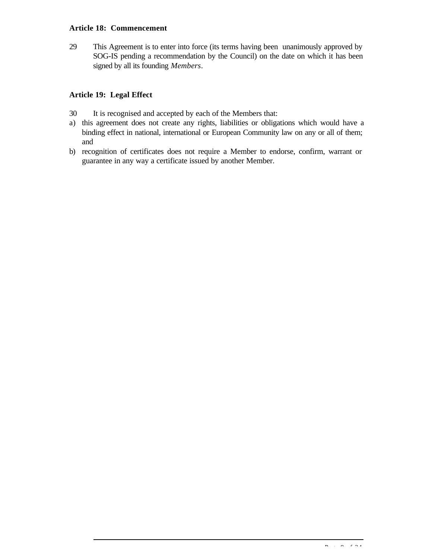#### **Article 18: Commencement**

29 This Agreement is to enter into force (its terms having been unanimously approved by SOG-IS pending a recommendation by the Council) on the date on which it has been signed by all its founding *Members*.

# **Article 19: Legal Effect**

- 30 It is recognised and accepted by each of the Members that:
- a) this agreement does not create any rights, liabilities or obligations which would have a binding effect in national, international or European Community law on any or all of them; and
- b) recognition of certificates does not require a Member to endorse, confirm, warrant or guarantee in any way a certificate issued by another Member.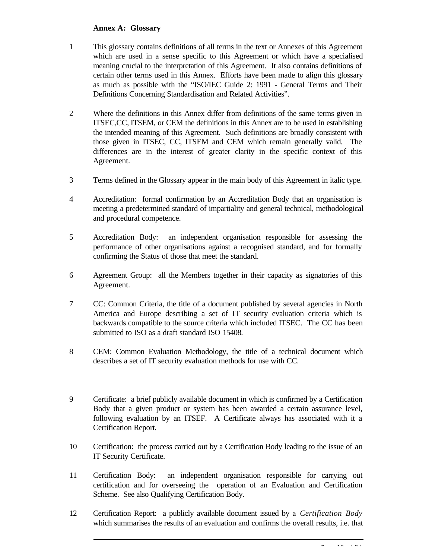#### **Annex A: Glossary**

- 1 This glossary contains definitions of all terms in the text or Annexes of this Agreement which are used in a sense specific to this Agreement or which have a specialised meaning crucial to the interpretation of this Agreement. It also contains definitions of certain other terms used in this Annex. Efforts have been made to align this glossary as much as possible with the "ISO/IEC Guide 2: 1991 - General Terms and Their Definitions Concerning Standardisation and Related Activities".
- 2 Where the definitions in this Annex differ from definitions of the same terms given in ITSEC,CC, ITSEM, or CEM the definitions in this Annex are to be used in establishing the intended meaning of this Agreement. Such definitions are broadly consistent with those given in ITSEC, CC, ITSEM and CEM which remain generally valid. The differences are in the interest of greater clarity in the specific context of this Agreement.
- 3 Terms defined in the Glossary appear in the main body of this Agreement in italic type.
- 4 Accreditation: formal confirmation by an Accreditation Body that an organisation is meeting a predetermined standard of impartiality and general technical, methodological and procedural competence.
- 5 Accreditation Body: an independent organisation responsible for assessing the performance of other organisations against a recognised standard, and for formally confirming the Status of those that meet the standard.
- 6 Agreement Group: all the Members together in their capacity as signatories of this Agreement.
- 7 CC: Common Criteria, the title of a document published by several agencies in North America and Europe describing a set of IT security evaluation criteria which is backwards compatible to the source criteria which included ITSEC. The CC has been submitted to ISO as a draft standard ISO 15408.
- 8 CEM: Common Evaluation Methodology, the title of a technical document which describes a set of IT security evaluation methods for use with CC.
- 9 Certificate: a brief publicly available document in which is confirmed by a Certification Body that a given product or system has been awarded a certain assurance level, following evaluation by an ITSEF. A Certificate always has associated with it a Certification Report.
- 10 Certification: the process carried out by a Certification Body leading to the issue of an IT Security Certificate.
- 11 Certification Body: an independent organisation responsible for carrying out certification and for overseeing the operation of an Evaluation and Certification Scheme. See also Qualifying Certification Body.
- 12 Certification Report: a publicly available document issued by a *Certification Body* which summarises the results of an evaluation and confirms the overall results, i.e. that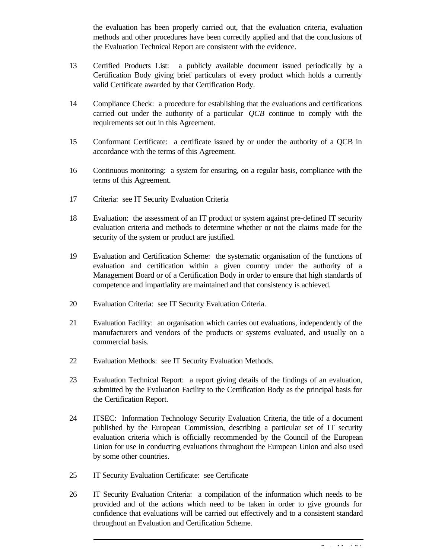the evaluation has been properly carried out, that the evaluation criteria, evaluation methods and other procedures have been correctly applied and that the conclusions of the Evaluation Technical Report are consistent with the evidence.

- 13 Certified Products List: a publicly available document issued periodically by a Certification Body giving brief particulars of every product which holds a currently valid Certificate awarded by that Certification Body.
- 14 Compliance Check: a procedure for establishing that the evaluations and certifications carried out under the authority of a particular *QCB* continue to comply with the requirements set out in this Agreement.
- 15 Conformant Certificate: a certificate issued by or under the authority of a QCB in accordance with the terms of this Agreement.
- 16 Continuous monitoring: a system for ensuring, on a regular basis, compliance with the terms of this Agreement.
- 17 Criteria: see IT Security Evaluation Criteria
- 18 Evaluation: the assessment of an IT product or system against pre-defined IT security evaluation criteria and methods to determine whether or not the claims made for the security of the system or product are justified.
- 19 Evaluation and Certification Scheme: the systematic organisation of the functions of evaluation and certification within a given country under the authority of a Management Board or of a Certification Body in order to ensure that high standards of competence and impartiality are maintained and that consistency is achieved.
- 20 Evaluation Criteria: see IT Security Evaluation Criteria.
- 21 Evaluation Facility: an organisation which carries out evaluations, independently of the manufacturers and vendors of the products or systems evaluated, and usually on a commercial basis.
- 22 Evaluation Methods: see IT Security Evaluation Methods.
- 23 Evaluation Technical Report: a report giving details of the findings of an evaluation, submitted by the Evaluation Facility to the Certification Body as the principal basis for the Certification Report.
- 24 ITSEC: Information Technology Security Evaluation Criteria, the title of a document published by the European Commission, describing a particular set of IT security evaluation criteria which is officially recommended by the Council of the European Union for use in conducting evaluations throughout the European Union and also used by some other countries.
- 25 IT Security Evaluation Certificate: see Certificate
- 26 IT Security Evaluation Criteria: a compilation of the information which needs to be provided and of the actions which need to be taken in order to give grounds for confidence that evaluations will be carried out effectively and to a consistent standard throughout an Evaluation and Certification Scheme.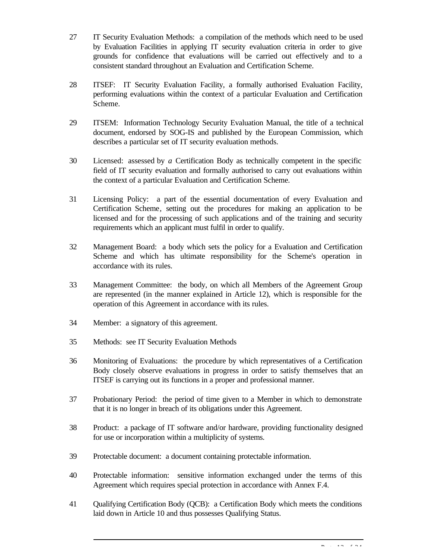- 27 IT Security Evaluation Methods: a compilation of the methods which need to be used by Evaluation Facilities in applying IT security evaluation criteria in order to give grounds for confidence that evaluations will be carried out effectively and to a consistent standard throughout an Evaluation and Certification Scheme.
- 28 ITSEF: IT Security Evaluation Facility, a formally authorised Evaluation Facility, performing evaluations within the context of a particular Evaluation and Certification Scheme.
- 29 ITSEM: Information Technology Security Evaluation Manual, the title of a technical document, endorsed by SOG-IS and published by the European Commission, which describes a particular set of IT security evaluation methods.
- 30 Licensed: assessed by *a* Certification Body as technically competent in the specific field of IT security evaluation and formally authorised to carry out evaluations within the context of a particular Evaluation and Certification Scheme.
- 31 Licensing Policy: a part of the essential documentation of every Evaluation and Certification Scheme*,* setting out the procedures for making an application to be licensed and for the processing of such applications and of the training and security requirements which an applicant must fulfil in order to qualify.
- 32 Management Board: a body which sets the policy for a Evaluation and Certification Scheme and which has ultimate responsibility for the Scheme's operation in accordance with its rules.
- 33 Management Committee: the body, on which all Members of the Agreement Group are represented (in the manner explained in Article 12), which is responsible for the operation of this Agreement in accordance with its rules.
- 34 Member: a signatory of this agreement.
- 35 Methods: see IT Security Evaluation Methods
- 36 Monitoring of Evaluations: the procedure by which representatives of a Certification Body closely observe evaluations in progress in order to satisfy themselves that an ITSEF is carrying out its functions in a proper and professional manner.
- 37 Probationary Period: the period of time given to a Member in which to demonstrate that it is no longer in breach of its obligations under this Agreement.
- 38 Product: a package of IT software and/or hardware, providing functionality designed for use or incorporation within a multiplicity of systems.
- 39 Protectable document: a document containing protectable information.
- 40 Protectable information: sensitive information exchanged under the terms of this Agreement which requires special protection in accordance with Annex F.4.
- 41 Qualifying Certification Body (QCB): a Certification Body which meets the conditions laid down in Article 10 and thus possesses Qualifying Status.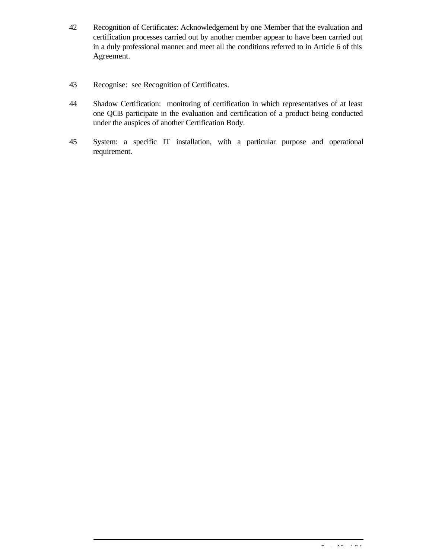- 42 Recognition of Certificates: Acknowledgement by one Member that the evaluation and certification processes carried out by another member appear to have been carried out in a duly professional manner and meet all the conditions referred to in Article 6 of this Agreement.
- 43 Recognise: see Recognition of Certificates.
- 44 Shadow Certification: monitoring of certification in which representatives of at least one QCB participate in the evaluation and certification of a product being conducted under the auspices of another Certification Body.
- 45 System: a specific IT installation, with a particular purpose and operational requirement.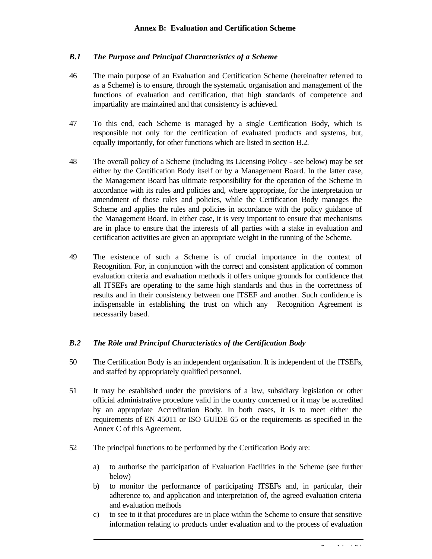# *B.1 The Purpose and Principal Characteristics of a Scheme*

- 46 The main purpose of an Evaluation and Certification Scheme (hereinafter referred to as a Scheme) is to ensure, through the systematic organisation and management of the functions of evaluation and certification, that high standards of competence and impartiality are maintained and that consistency is achieved.
- 47 To this end, each Scheme is managed by a single Certification Body, which is responsible not only for the certification of evaluated products and systems, but, equally importantly, for other functions which are listed in section B.2.
- 48 The overall policy of a Scheme (including its Licensing Policy see below) may be set either by the Certification Body itself or by a Management Board. In the latter case, the Management Board has ultimate responsibility for the operation of the Scheme in accordance with its rules and policies and, where appropriate, for the interpretation or amendment of those rules and policies, while the Certification Body manages the Scheme and applies the rules and policies in accordance with the policy guidance of the Management Board. In either case, it is very important to ensure that mechanisms are in place to ensure that the interests of all parties with a stake in evaluation and certification activities are given an appropriate weight in the running of the Scheme.
- 49 The existence of such a Scheme is of crucial importance in the context of Recognition. For, in conjunction with the correct and consistent application of common evaluation criteria and evaluation methods it offers unique grounds for confidence that all ITSEFs are operating to the same high standards and thus in the correctness of results and in their consistency between one ITSEF and another. Such confidence is indispensable in establishing the trust on which any Recognition Agreement is necessarily based.

# *B.2 The Rôle and Principal Characteristics of the Certification Body*

- 50 The Certification Body is an independent organisation. It is independent of the ITSEFs, and staffed by appropriately qualified personnel.
- 51 It may be established under the provisions of a law, subsidiary legislation or other official administrative procedure valid in the country concerned or it may be accredited by an appropriate Accreditation Body. In both cases, it is to meet either the requirements of EN 45011 or ISO GUIDE 65 or the requirements as specified in the Annex C of this Agreement.
- 52 The principal functions to be performed by the Certification Body are:
	- a) to authorise the participation of Evaluation Facilities in the Scheme (see further below)
	- b) to monitor the performance of participating ITSEFs and, in particular, their adherence to, and application and interpretation of, the agreed evaluation criteria and evaluation methods
	- c) to see to it that procedures are in place within the Scheme to ensure that sensitive information relating to products under evaluation and to the process of evaluation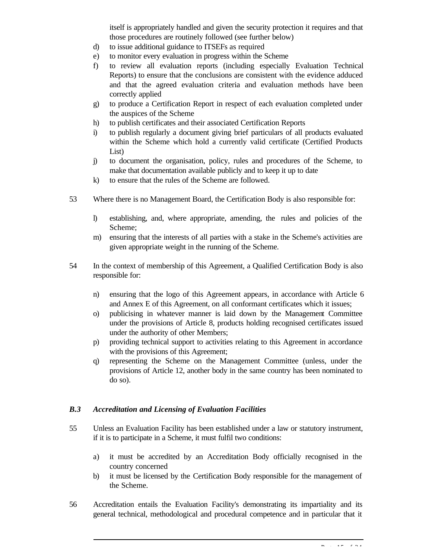itself is appropriately handled and given the security protection it requires and that those procedures are routinely followed (see further below)

- d) to issue additional guidance to ITSEFs as required
- e) to monitor every evaluation in progress within the Scheme
- f) to review all evaluation reports (including especially Evaluation Technical Reports) to ensure that the conclusions are consistent with the evidence adduced and that the agreed evaluation criteria and evaluation methods have been correctly applied
- g) to produce a Certification Report in respect of each evaluation completed under the auspices of the Scheme
- h) to publish certificates and their associated Certification Reports
- i) to publish regularly a document giving brief particulars of all products evaluated within the Scheme which hold a currently valid certificate (Certified Products List)
- j) to document the organisation, policy, rules and procedures of the Scheme, to make that documentation available publicly and to keep it up to date
- k) to ensure that the rules of the Scheme are followed.
- 53 Where there is no Management Board, the Certification Body is also responsible for:
	- l) establishing, and, where appropriate, amending, the rules and policies of the Scheme;
	- m) ensuring that the interests of all parties with a stake in the Scheme's activities are given appropriate weight in the running of the Scheme.
- 54 In the context of membership of this Agreement, a Qualified Certification Body is also responsible for:
	- n) ensuring that the logo of this Agreement appears, in accordance with Article 6 and Annex E of this Agreement, on all conformant certificates which it issues;
	- o) publicising in whatever manner is laid down by the Management Committee under the provisions of Article 8, products holding recognised certificates issued under the authority of other Members;
	- p) providing technical support to activities relating to this Agreement in accordance with the provisions of this Agreement;
	- q) representing the Scheme on the Management Committee (unless, under the provisions of Article 12, another body in the same country has been nominated to do so).

#### *B.3 Accreditation and Licensing of Evaluation Facilities*

- 55 Unless an Evaluation Facility has been established under a law or statutory instrument, if it is to participate in a Scheme, it must fulfil two conditions:
	- a) it must be accredited by an Accreditation Body officially recognised in the country concerned
	- b) it must be licensed by the Certification Body responsible for the management of the Scheme.
- 56 Accreditation entails the Evaluation Facility's demonstrating its impartiality and its general technical, methodological and procedural competence and in particular that it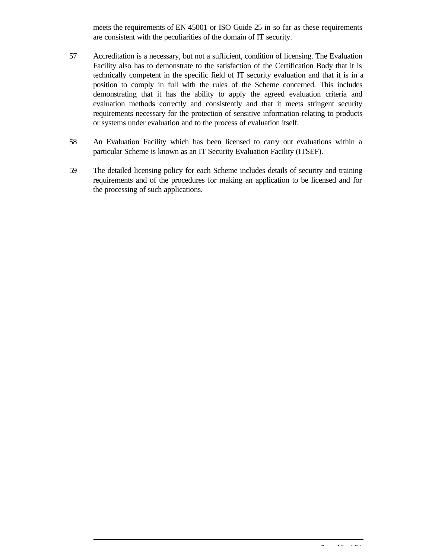meets the requirements of EN 45001 or ISO Guide 25 in so far as these requirements are consistent with the peculiarities of the domain of IT security.

- 57 Accreditation is a necessary, but not a sufficient, condition of licensing. The Evaluation Facility also has to demonstrate to the satisfaction of the Certification Body that it is technically competent in the specific field of IT security evaluation and that it is in a position to comply in full with the rules of the Scheme concerned. This includes demonstrating that it has the ability to apply the agreed evaluation criteria and evaluation methods correctly and consistently and that it meets stringent security requirements necessary for the protection of sensitive information relating to products or systems under evaluation and to the process of evaluation itself.
- 58 An Evaluation Facility which has been licensed to carry out evaluations within a particular Scheme is known as an IT Security Evaluation Facility (ITSEF).
- 59 The detailed licensing policy for each Scheme includes details of security and training requirements and of the procedures for making an application to be licensed and for the processing of such applications.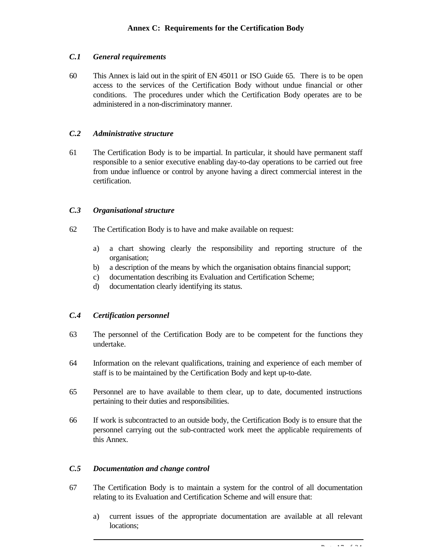#### *C.1 General requirements*

60 This Annex is laid out in the spirit of EN 45011 or ISO Guide 65. There is to be open access to the services of the Certification Body without undue financial or other conditions. The procedures under which the Certification Body operates are to be administered in a non-discriminatory manner.

#### *C.2 Administrative structure*

61 The Certification Body is to be impartial. In particular, it should have permanent staff responsible to a senior executive enabling day-to-day operations to be carried out free from undue influence or control by anyone having a direct commercial interest in the certification.

#### *C.3 Organisational structure*

- 62 The Certification Body is to have and make available on request:
	- a) a chart showing clearly the responsibility and reporting structure of the organisation;
	- b) a description of the means by which the organisation obtains financial support;
	- c) documentation describing its Evaluation and Certification Scheme;
	- d) documentation clearly identifying its status.

#### *C.4 Certification personnel*

- 63 The personnel of the Certification Body are to be competent for the functions they undertake.
- 64 Information on the relevant qualifications, training and experience of each member of staff is to be maintained by the Certification Body and kept up-to-date.
- 65 Personnel are to have available to them clear, up to date, documented instructions pertaining to their duties and responsibilities.
- 66 If work is subcontracted to an outside body, the Certification Body is to ensure that the personnel carrying out the sub-contracted work meet the applicable requirements of this Annex.

#### *C.5 Documentation and change control*

- 67 The Certification Body is to maintain a system for the control of all documentation relating to its Evaluation and Certification Scheme and will ensure that:
	- a) current issues of the appropriate documentation are available at all relevant locations;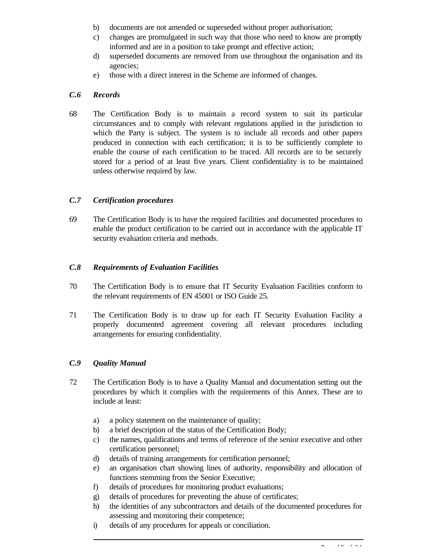- b) documents are not amended or superseded without proper authorisation;
- c) changes are promulgated in such way that those who need to know are promptly informed and are in a position to take prompt and effective action;
- d) superseded documents are removed from use throughout the organisation and its agencies;
- e) those with a direct interest in the Scheme are informed of changes.

#### *C.6 Records*

68 The Certification Body is to maintain a record system to suit its particular circumstances and to comply with relevant regulations applied in the jurisdiction to which the Party is subject. The system is to include all records and other papers produced in connection with each certification; it is to be sufficiently complete to enable the course of each certification to be traced. All records are to be securely stored for a period of at least five years. Client confidentiality is to be maintained unless otherwise required by law.

# *C.7 Certification procedures*

69 The Certification Body is to have the required facilities and documented procedures to enable the product certification to be carried out in accordance with the applicable IT security evaluation criteria and methods.

#### *C.8 Requirements of Evaluation Facilities*

- 70 The Certification Body is to ensure that IT Security Evaluation Facilities conform to the relevant requirements of EN 45001 or ISO Guide 25.
- 71 The Certification Body is to draw up for each IT Security Evaluation Facility a properly documented agreement covering all relevant procedures including arrangements for ensuring confidentiality.

# *C.9 Quality Manual*

- 72 The Certification Body is to have a Quality Manual and documentation setting out the procedures by which it complies with the requirements of this Annex. These are to include at least:
	- a) a policy statement on the maintenance of quality;
	- b) a brief description of the status of the Certification Body;
	- c) the names, qualifications and terms of reference of the senior executive and other certification personnel;
	- d) details of training arrangements for certification personnel;
	- e) an organisation chart showing lines of authority, responsibility and allocation of functions stemming from the Senior Executive;
	- f) details of procedures for monitoring product evaluations;
	- g) details of procedures for preventing the abuse of certificates;
	- h) the identities of any subcontractors and details of the documented procedures for assessing and monitoring their competence;
	- i) details of any procedures for appeals or conciliation.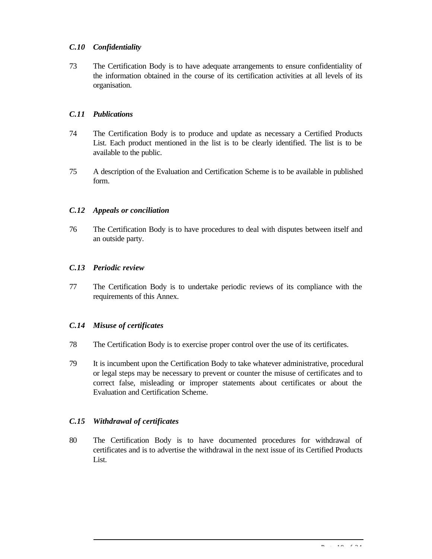# *C.10 Confidentiality*

73 The Certification Body is to have adequate arrangements to ensure confidentiality of the information obtained in the course of its certification activities at all levels of its organisation.

#### *C.11 Publications*

- 74 The Certification Body is to produce and update as necessary a Certified Products List. Each product mentioned in the list is to be clearly identified. The list is to be available to the public.
- 75 A description of the Evaluation and Certification Scheme is to be available in published form.

#### *C.12 Appeals or conciliation*

76 The Certification Body is to have procedures to deal with disputes between itself and an outside party.

#### *C.13 Periodic review*

77 The Certification Body is to undertake periodic reviews of its compliance with the requirements of this Annex.

# *C.14 Misuse of certificates*

- 78 The Certification Body is to exercise proper control over the use of its certificates.
- 79 It is incumbent upon the Certification Body to take whatever administrative, procedural or legal steps may be necessary to prevent or counter the misuse of certificates and to correct false, misleading or improper statements about certificates or about the Evaluation and Certification Scheme.

# *C.15 Withdrawal of certificates*

80 The Certification Body is to have documented procedures for withdrawal of certificates and is to advertise the withdrawal in the next issue of its Certified Products List.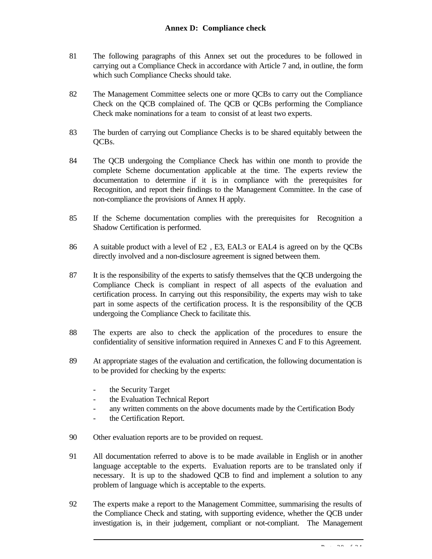#### **Annex D: Compliance check**

- 81 The following paragraphs of this Annex set out the procedures to be followed in carrying out a Compliance Check in accordance with Article 7 and, in outline, the form which such Compliance Checks should take.
- 82 The Management Committee selects one or more QCBs to carry out the Compliance Check on the QCB complained of. The QCB or QCBs performing the Compliance Check make nominations for a team to consist of at least two experts.
- 83 The burden of carrying out Compliance Checks is to be shared equitably between the QCBs.
- 84 The QCB undergoing the Compliance Check has within one month to provide the complete Scheme documentation applicable at the time. The experts review the documentation to determine if it is in compliance with the prerequisites for Recognition, and report their findings to the Management Committee. In the case of non-compliance the provisions of Annex H apply.
- 85 If the Scheme documentation complies with the prerequisites for Recognition a Shadow Certification is performed.
- 86 A suitable product with a level of E2 , E3, EAL3 or EAL4 is agreed on by the QCBs directly involved and a non-disclosure agreement is signed between them.
- 87 It is the responsibility of the experts to satisfy themselves that the QCB undergoing the Compliance Check is compliant in respect of all aspects of the evaluation and certification process. In carrying out this responsibility, the experts may wish to take part in some aspects of the certification process. It is the responsibility of the QCB undergoing the Compliance Check to facilitate this.
- 88 The experts are also to check the application of the procedures to ensure the confidentiality of sensitive information required in Annexes C and F to this Agreement.
- 89 At appropriate stages of the evaluation and certification, the following documentation is to be provided for checking by the experts:
	- the Security Target
	- the Evaluation Technical Report
	- any written comments on the above documents made by the Certification Body
	- the Certification Report.
- 90 Other evaluation reports are to be provided on request.
- 91 All documentation referred to above is to be made available in English or in another language acceptable to the experts. Evaluation reports are to be translated only if necessary. It is up to the shadowed QCB to find and implement a solution to any problem of language which is acceptable to the experts.
- 92 The experts make a report to the Management Committee, summarising the results of the Compliance Check and stating, with supporting evidence, whether the QCB under investigation is, in their judgement, compliant or not-compliant. The Management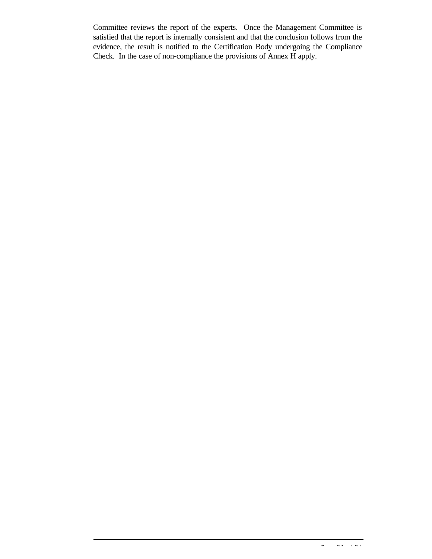Committee reviews the report of the experts. Once the Management Committee is satisfied that the report is internally consistent and that the conclusion follows from the evidence, the result is notified to the Certification Body undergoing the Compliance Check. In the case of non-compliance the provisions of Annex H apply.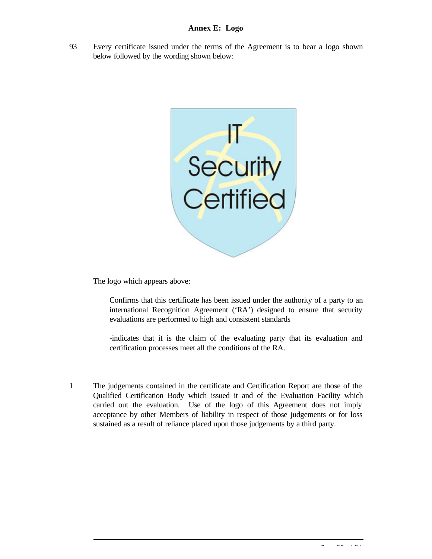93 Every certificate issued under the terms of the Agreement is to bear a logo shown below followed by the wording shown below:



The logo which appears above:

Confirms that this certificate has been issued under the authority of a party to an international Recognition Agreement ('RA') designed to ensure that security evaluations are performed to high and consistent standards

-indicates that it is the claim of the evaluating party that its evaluation and certification processes meet all the conditions of the RA.

1 The judgements contained in the certificate and Certification Report are those of the Qualified Certification Body which issued it and of the Evaluation Facility which carried out the evaluation. Use of the logo of this Agreement does not imply acceptance by other Members of liability in respect of those judgements or for loss sustained as a result of reliance placed upon those judgements by a third party.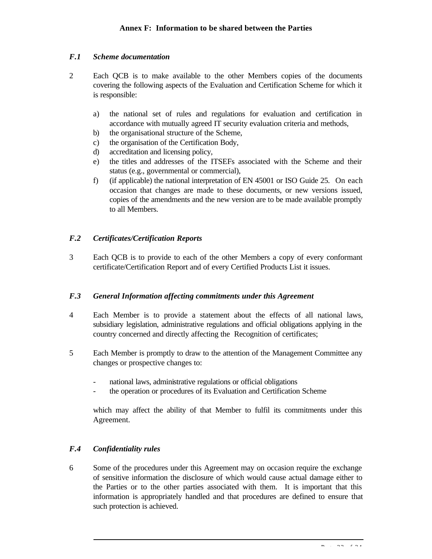#### *F.1 Scheme documentation*

- 2 Each QCB is to make available to the other Members copies of the documents covering the following aspects of the Evaluation and Certification Scheme for which it is responsible:
	- a) the national set of rules and regulations for evaluation and certification in accordance with mutually agreed IT security evaluation criteria and methods,
	- b) the organisational structure of the Scheme,
	- c) the organisation of the Certification Body,
	- d) accreditation and licensing policy,
	- e) the titles and addresses of the ITSEFs associated with the Scheme and their status (e.g., governmental or commercial),
	- f) (if applicable) the national interpretation of EN 45001 or ISO Guide 25. On each occasion that changes are made to these documents, or new versions issued, copies of the amendments and the new version are to be made available promptly to all Members.

#### *F.2 Certificates/Certification Reports*

3 Each QCB is to provide to each of the other Members a copy of every conformant certificate/Certification Report and of every Certified Products List it issues.

#### *F.3 General Information affecting commitments under this Agreement*

- 4 Each Member is to provide a statement about the effects of all national laws, subsidiary legislation, administrative regulations and official obligations applying in the country concerned and directly affecting the Recognition of certificates;
- 5 Each Member is promptly to draw to the attention of the Management Committee any changes or prospective changes to:
	- national laws, administrative regulations or official obligations
	- the operation or procedures of its Evaluation and Certification Scheme

which may affect the ability of that Member to fulfil its commitments under this Agreement.

# *F.4 Confidentiality rules*

6 Some of the procedures under this Agreement may on occasion require the exchange of sensitive information the disclosure of which would cause actual damage either to the Parties or to the other parties associated with them. It is important that this information is appropriately handled and that procedures are defined to ensure that such protection is achieved.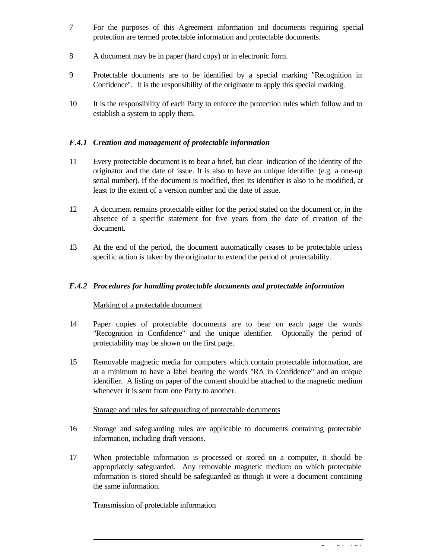- 7 For the purposes of this Agreement information and documents requiring special protection are termed protectable information and protectable documents.
- 8 A document may be in paper (hard copy) or in electronic form.
- 9 Protectable documents are to be identified by a special marking "Recognition in Confidence". It is the responsibility of the originator to apply this special marking.
- 10 It is the responsibility of each Party to enforce the protection rules which follow and to establish a system to apply them.

# *F.4.1 Creation and management of protectable information*

- 11 Every protectable document is to bear a brief, but clear indication of the identity of the originator and the date of issue. It is also to have an unique identifier (e.g. a one-up serial number). If the document is modified, then its identifier is also to be modified, at least to the extent of a version number and the date of issue.
- 12 A document remains protectable either for the period stated on the document or, in the absence of a specific statement for five years from the date of creation of the document.
- 13 At the end of the period, the document automatically ceases to be protectable unless specific action is taken by the originator to extend the period of protectability.

# *F.4.2 Procedures for handling protectable documents and protectable information*

#### Marking of a protectable document

- 14 Paper copies of protectable documents are to bear on each page the words "Recognition in Confidence" and the unique identifier. Optionally the period of protectability may be shown on the first page.
- 15 Removable magnetic media for computers which contain protectable information, are at a minimum to have a label bearing the words "RA in Confidence" and an unique identifier. A listing on paper of the content should be attached to the magnetic medium whenever it is sent from one Party to another.

#### Storage and rules for safeguarding of protectable documents

- 16 Storage and safeguarding rules are applicable to documents containing protectable information, including draft versions.
- 17 When protectable information is processed or stored on a computer, it should be appropriately safeguarded. Any removable magnetic medium on which protectable information is stored should be safeguarded as though it were a document containing the same information.

#### Transmission of protectable information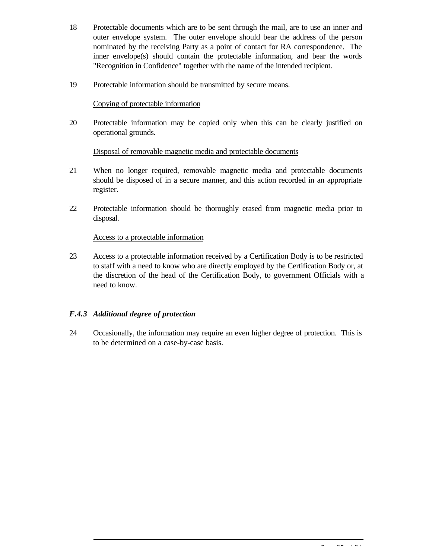- 18 Protectable documents which are to be sent through the mail, are to use an inner and outer envelope system. The outer envelope should bear the address of the person nominated by the receiving Party as a point of contact for RA correspondence. The inner envelope(s) should contain the protectable information, and bear the words "Recognition in Confidence" together with the name of the intended recipient.
- 19 Protectable information should be transmitted by secure means.

#### Copying of protectable information

20 Protectable information may be copied only when this can be clearly justified on operational grounds.

# Disposal of removable magnetic media and protectable documents

- 21 When no longer required, removable magnetic media and protectable documents should be disposed of in a secure manner, and this action recorded in an appropriate register.
- 22 Protectable information should be thoroughly erased from magnetic media prior to disposal.

#### Access to a protectable information

23 Access to a protectable information received by a Certification Body is to be restricted to staff with a need to know who are directly employed by the Certification Body or, at the discretion of the head of the Certification Body, to government Officials with a need to know.

# *F.4.3 Additional degree of protection*

24 Occasionally, the information may require an even higher degree of protection. This is to be determined on a case-by-case basis.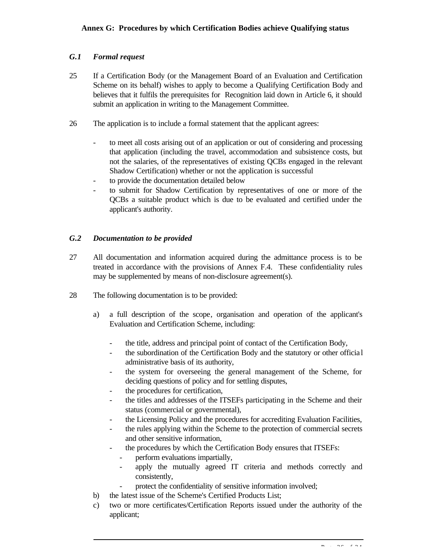#### **Annex G: Procedures by which Certification Bodies achieve Qualifying status**

#### *G.1 Formal request*

- 25 If a Certification Body (or the Management Board of an Evaluation and Certification Scheme on its behalf) wishes to apply to become a Qualifying Certification Body and believes that it fulfils the prerequisites for Recognition laid down in Article 6, it should submit an application in writing to the Management Committee.
- 26 The application is to include a formal statement that the applicant agrees:
	- to meet all costs arising out of an application or out of considering and processing that application (including the travel, accommodation and subsistence costs, but not the salaries, of the representatives of existing QCBs engaged in the relevant Shadow Certification) whether or not the application is successful
	- to provide the documentation detailed below
	- to submit for Shadow Certification by representatives of one or more of the QCBs a suitable product which is due to be evaluated and certified under the applicant's authority.

#### *G.2 Documentation to be provided*

- 27 All documentation and information acquired during the admittance process is to be treated in accordance with the provisions of Annex F.4. These confidentiality rules may be supplemented by means of non-disclosure agreement(s).
- 28 The following documentation is to be provided:
	- a) a full description of the scope, organisation and operation of the applicant's Evaluation and Certification Scheme, including:
		- the title, address and principal point of contact of the Certification Body,
		- the subordination of the Certification Body and the statutory or other official administrative basis of its authority,
		- the system for overseeing the general management of the Scheme, for deciding questions of policy and for settling disputes,
		- the procedures for certification,
		- the titles and addresses of the ITSEFs participating in the Scheme and their status (commercial or governmental),
		- the Licensing Policy and the procedures for accrediting Evaluation Facilities,
		- the rules applying within the Scheme to the protection of commercial secrets and other sensitive information,
		- the procedures by which the Certification Body ensures that ITSEFs:
			- perform evaluations impartially,
			- apply the mutually agreed IT criteria and methods correctly and consistently,
			- protect the confidentiality of sensitive information involved;
	- b) the latest issue of the Scheme's Certified Products List;
	- c) two or more certificates/Certification Reports issued under the authority of the applicant;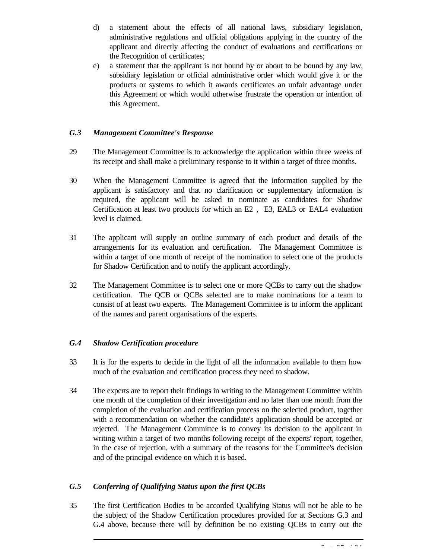- d) a statement about the effects of all national laws, subsidiary legislation, administrative regulations and official obligations applying in the country of the applicant and directly affecting the conduct of evaluations and certifications or the Recognition of certificates;
- e) a statement that the applicant is not bound by or about to be bound by any law, subsidiary legislation or official administrative order which would give it or the products or systems to which it awards certificates an unfair advantage under this Agreement or which would otherwise frustrate the operation or intention of this Agreement.

#### *G.3 Management Committee's Response*

- 29 The Management Committee is to acknowledge the application within three weeks of its receipt and shall make a preliminary response to it within a target of three months.
- 30 When the Management Committee is agreed that the information supplied by the applicant is satisfactory and that no clarification or supplementary information is required, the applicant will be asked to nominate as candidates for Shadow Certification at least two products for which an E2 , E3, EAL3 or EAL4 evaluation level is claimed.
- 31 The applicant will supply an outline summary of each product and details of the arrangements for its evaluation and certification. The Management Committee is within a target of one month of receipt of the nomination to select one of the products for Shadow Certification and to notify the applicant accordingly.
- 32 The Management Committee is to select one or more QCBs to carry out the shadow certification. The QCB or QCBs selected are to make nominations for a team to consist of at least two experts. The Management Committee is to inform the applicant of the names and parent organisations of the experts.

# *G.4 Shadow Certification procedure*

- 33 It is for the experts to decide in the light of all the information available to them how much of the evaluation and certification process they need to shadow.
- 34 The experts are to report their findings in writing to the Management Committee within one month of the completion of their investigation and no later than one month from the completion of the evaluation and certification process on the selected product, together with a recommendation on whether the candidate's application should be accepted or rejected. The Management Committee is to convey its decision to the applicant in writing within a target of two months following receipt of the experts' report, together, in the case of rejection, with a summary of the reasons for the Committee's decision and of the principal evidence on which it is based.

# *G.5 Conferring of Qualifying Status upon the first QCBs*

35 The first Certification Bodies to be accorded Qualifying Status will not be able to be the subject of the Shadow Certification procedures provided for at Sections G.3 and G.4 above, because there will by definition be no existing QCBs to carry out the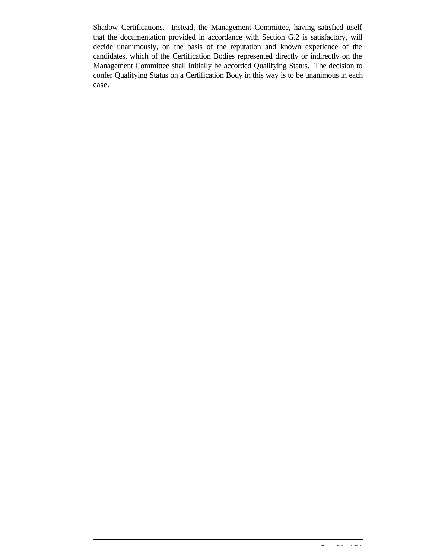Shadow Certifications. Instead, the Management Committee, having satisfied itself that the documentation provided in accordance with Section G.2 is satisfactory, will decide unanimously, on the basis of the reputation and known experience of the candidates, which of the Certification Bodies represented directly or indirectly on the Management Committee shall initially be accorded Qualifying Status. The decision to confer Qualifying Status on a Certification Body in this way is to be unanimous in each case.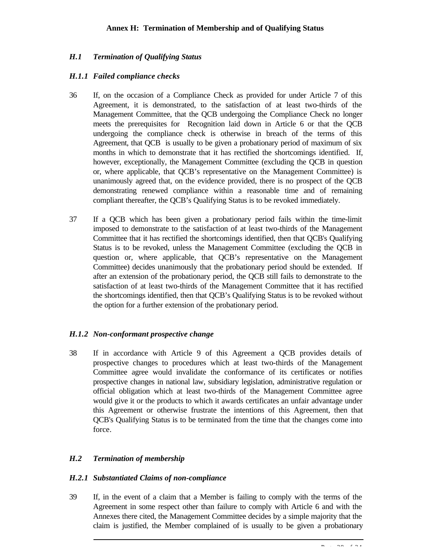# *H.1 Termination of Qualifying Status*

#### *H.1.1 Failed compliance checks*

- 36 If, on the occasion of a Compliance Check as provided for under Article 7 of this Agreement, it is demonstrated, to the satisfaction of at least two-thirds of the Management Committee, that the QCB undergoing the Compliance Check no longer meets the prerequisites for Recognition laid down in Article 6 or that the QCB undergoing the compliance check is otherwise in breach of the terms of this Agreement, that QCB is usually to be given a probationary period of maximum of six months in which to demonstrate that it has rectified the shortcomings identified. If, however, exceptionally, the Management Committee (excluding the QCB in question or, where applicable, that QCB's representative on the Management Committee) is unanimously agreed that, on the evidence provided, there is no prospect of the QCB demonstrating renewed compliance within a reasonable time and of remaining compliant thereafter, the QCB's Qualifying Status is to be revoked immediately.
- 37 If a QCB which has been given a probationary period fails within the time-limit imposed to demonstrate to the satisfaction of at least two-thirds of the Management Committee that it has rectified the shortcomings identified, then that QCB's Qualifying Status is to be revoked, unless the Management Committee (excluding the QCB in question or, where applicable, that QCB's representative on the Management Committee) decides unanimously that the probationary period should be extended. If after an extension of the probationary period, the QCB still fails to demonstrate to the satisfaction of at least two-thirds of the Management Committee that it has rectified the shortcomings identified, then that QCB's Qualifying Status is to be revoked without the option for a further extension of the probationary period.

# *H.1.2 Non-conformant prospective change*

38 If in accordance with Article 9 of this Agreement a QCB provides details of prospective changes to procedures which at least two-thirds of the Management Committee agree would invalidate the conformance of its certificates or notifies prospective changes in national law, subsidiary legislation, administrative regulation or official obligation which at least two-thirds of the Management Committee agree would give it or the products to which it awards certificates an unfair advantage under this Agreement or otherwise frustrate the intentions of this Agreement, then that QCB's Qualifying Status is to be terminated from the time that the changes come into force.

#### *H.2 Termination of membership*

#### *H.2.1 Substantiated Claims of non-compliance*

39 If, in the event of a claim that a Member is failing to comply with the terms of the Agreement in some respect other than failure to comply with Article 6 and with the Annexes there cited, the Management Committee decides by a simple majority that the claim is justified, the Member complained of is usually to be given a probationary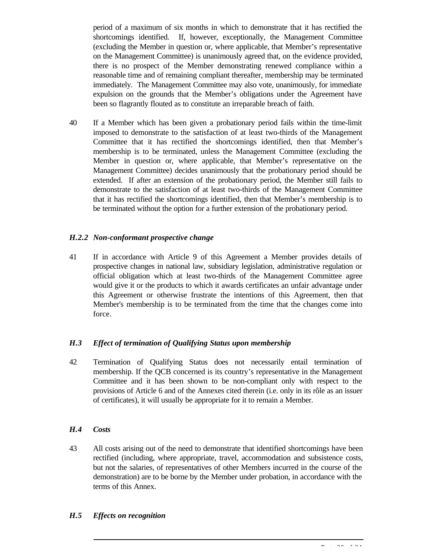period of a maximum of six months in which to demonstrate that it has rectified the shortcomings identified. If, however, exceptionally, the Management Committee (excluding the Member in question or, where applicable, that Member's representative on the Management Committee) is unanimously agreed that, on the evidence provided, there is no prospect of the Member demonstrating renewed compliance within a reasonable time and of remaining compliant thereafter, membership may be terminated immediately. The Management Committee may also vote, unanimously, for immediate expulsion on the grounds that the Member's obligations under the Agreement have been so flagrantly flouted as to constitute an irreparable breach of faith.

40 If a Member which has been given a probationary period fails within the time-limit imposed to demonstrate to the satisfaction of at least two-thirds of the Management Committee that it has rectified the shortcomings identified, then that Member's membership is to be terminated, unless the Management Committee (excluding the Member in question or, where applicable, that Member's representative on the Management Committee) decides unanimously that the probationary period should be extended. If after an extension of the probationary period, the Member still fails to demonstrate to the satisfaction of at least two-thirds of the Management Committee that it has rectified the shortcomings identified, then that Member's membership is to be terminated without the option for a further extension of the probationary period.

#### *H.2.2 Non-conformant prospective change*

41 If in accordance with Article 9 of this Agreement a Member provides details of prospective changes in national law, subsidiary legislation, administrative regulation or official obligation which at least two-thirds of the Management Committee agree would give it or the products to which it awards certificates an unfair advantage under this Agreement or otherwise frustrate the intentions of this Agreement, then that Member's membership is to be terminated from the time that the changes come into force.

#### *H.3 Effect of termination of Qualifying Status upon membership*

42 Termination of Qualifying Status does not necessarily entail termination of membership. If the QCB concerned is its country's representative in the Management Committee and it has been shown to be non-compliant only with respect to the provisions of Article 6 and of the Annexes cited therein (i.e. only in its rôle as an issuer of certificates), it will usually be appropriate for it to remain a Member.

# *H.4 Costs*

43 All costs arising out of the need to demonstrate that identified shortcomings have been rectified (including, where appropriate, travel, accommodation and subsistence costs, but not the salaries, of representatives of other Members incurred in the course of the demonstration) are to be borne by the Member under probation, in accordance with the terms of this Annex.

# *H.5 Effects on recognition*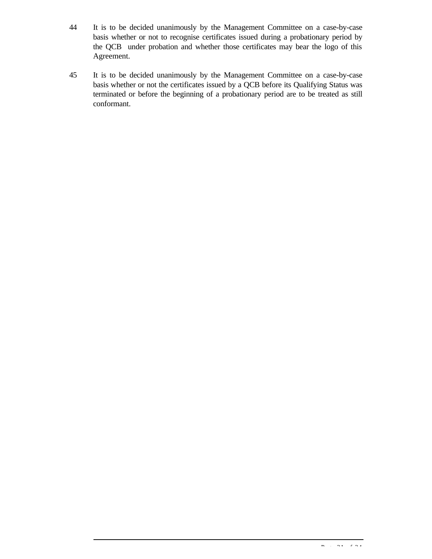- 44 It is to be decided unanimously by the Management Committee on a case-by-case basis whether or not to recognise certificates issued during a probationary period by the QCB under probation and whether those certificates may bear the logo of this Agreement.
- 45 It is to be decided unanimously by the Management Committee on a case-by-case basis whether or not the certificates issued by a QCB before its Qualifying Status was terminated or before the beginning of a probationary period are to be treated as still conformant.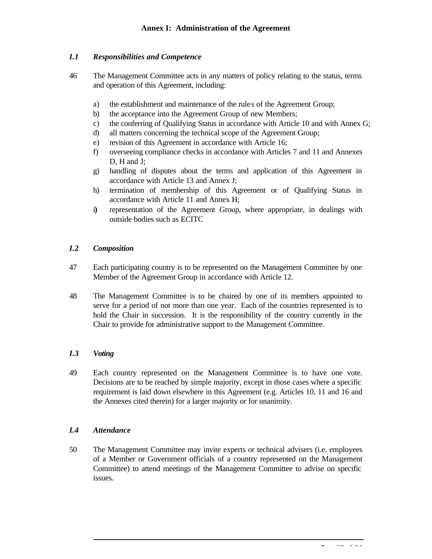# *I.1 Responsibilities and Competence*

- 46 The Management Committee acts in any matters of policy relating to the status, terms and operation of this Agreement, including:
	- a) the establishment and maintenance of the rule s of the Agreement Group;
	- b) the acceptance into the Agreement Group of new Members;
	- c) the conferring of Qualifying Status in accordance with Article 10 and with Annex G;
	- d) all matters concerning the technical scope of the Agreement Group;
	- e) revision of this Agreement in accordance with Article 16;
	- f) overseeing compliance checks in accordance with Articles 7 and 11 and Annexes D, H and J:
	- g) handling of disputes about the terms and application of this Agreement in accordance with Article 13 and Annex J;
	- h) termination of membership of this Agreement or of Qualifying Status in accordance with Article 11 and Annex H;
	- i**)** representation of the Agreement Group, where appropriate, in dealings with outside bodies such as ECITC

#### *I.2 Composition*

- 47 Each participating country is to be represented on the Management Committee by one Member of the Agreement Group in accordance with Article 12.
- 48 The Management Committee is to be chaired by one of its members appointed to serve for a period of not more than one year. Each of the countries represented is to hold the Chair in succession. It is the responsibility of the country currently in the Chair to provide for administrative support to the Management Committee.

# *I.3 Voting*

49 Each country represented on the Management Committee is to have one vote. Decisions are to be reached by simple majority, except in those cases where a specific requirement is laid down elsewhere in this Agreement (e.g. Articles 10, 11 and 16 and the Annexes cited therein) for a larger majority or for unanimity.

# *I.4 Attendance*

50 The Management Committee may invite experts or technical advisers (i.e. employees of a Member or Government officials of a country represented on the Management Committee) to attend meetings of the Management Committee to advise on specific issues.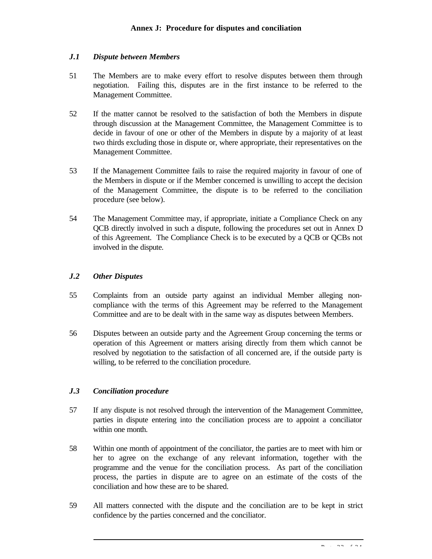#### *J.1 Dispute between Members*

- 51 The Members are to make every effort to resolve disputes between them through negotiation. Failing this, disputes are in the first instance to be referred to the Management Committee.
- 52 If the matter cannot be resolved to the satisfaction of both the Members in dispute through discussion at the Management Committee, the Management Committee is to decide in favour of one or other of the Members in dispute by a majority of at least two thirds excluding those in dispute or, where appropriate, their representatives on the Management Committee.
- 53 If the Management Committee fails to raise the required majority in favour of one of the Members in dispute or if the Member concerned is unwilling to accept the decision of the Management Committee, the dispute is to be referred to the conciliation procedure (see below).
- 54 The Management Committee may, if appropriate, initiate a Compliance Check on any QCB directly involved in such a dispute, following the procedures set out in Annex D of this Agreement. The Compliance Check is to be executed by a QCB or QCBs not involved in the dispute.

#### *J.2 Other Disputes*

- 55 Complaints from an outside party against an individual Member alleging noncompliance with the terms of this Agreement may be referred to the Management Committee and are to be dealt with in the same way as disputes between Members.
- 56 Disputes between an outside party and the Agreement Group concerning the terms or operation of this Agreement or matters arising directly from them which cannot be resolved by negotiation to the satisfaction of all concerned are, if the outside party is willing, to be referred to the conciliation procedure.

# *J.3 Conciliation procedure*

- 57 If any dispute is not resolved through the intervention of the Management Committee, parties in dispute entering into the conciliation process are to appoint a conciliator within one month.
- 58 Within one month of appointment of the conciliator, the parties are to meet with him or her to agree on the exchange of any relevant information, together with the programme and the venue for the conciliation process. As part of the conciliation process, the parties in dispute are to agree on an estimate of the costs of the conciliation and how these are to be shared.
- 59 All matters connected with the dispute and the conciliation are to be kept in strict confidence by the parties concerned and the conciliator.